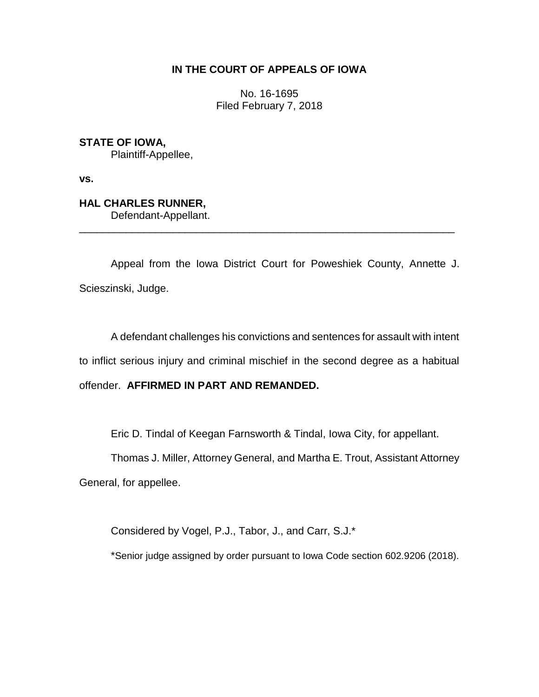# **IN THE COURT OF APPEALS OF IOWA**

No. 16-1695 Filed February 7, 2018

**STATE OF IOWA,**

Plaintiff-Appellee,

**vs.**

**HAL CHARLES RUNNER,** Defendant-Appellant.

Appeal from the Iowa District Court for Poweshiek County, Annette J. Scieszinski, Judge.

\_\_\_\_\_\_\_\_\_\_\_\_\_\_\_\_\_\_\_\_\_\_\_\_\_\_\_\_\_\_\_\_\_\_\_\_\_\_\_\_\_\_\_\_\_\_\_\_\_\_\_\_\_\_\_\_\_\_\_\_\_\_\_\_

A defendant challenges his convictions and sentences for assault with intent to inflict serious injury and criminal mischief in the second degree as a habitual offender. **AFFIRMED IN PART AND REMANDED.**

Eric D. Tindal of Keegan Farnsworth & Tindal, Iowa City, for appellant.

Thomas J. Miller, Attorney General, and Martha E. Trout, Assistant Attorney

General, for appellee.

Considered by Vogel, P.J., Tabor, J., and Carr, S.J.\*

\*Senior judge assigned by order pursuant to Iowa Code section 602.9206 (2018).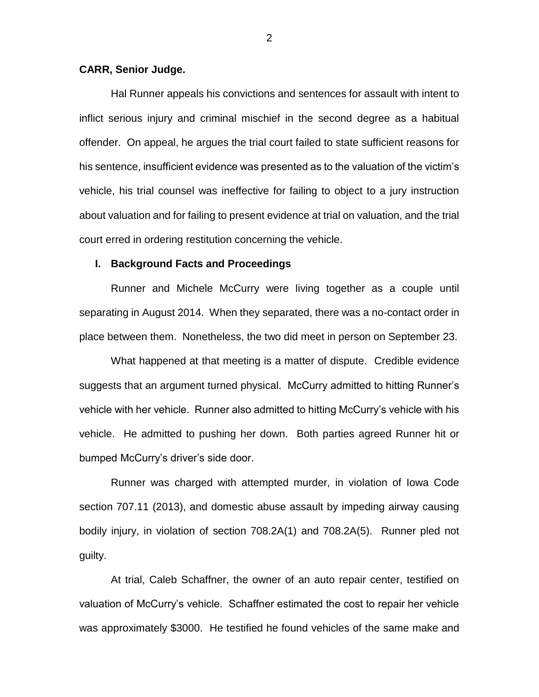### **CARR, Senior Judge.**

Hal Runner appeals his convictions and sentences for assault with intent to inflict serious injury and criminal mischief in the second degree as a habitual offender. On appeal, he argues the trial court failed to state sufficient reasons for his sentence, insufficient evidence was presented as to the valuation of the victim's vehicle, his trial counsel was ineffective for failing to object to a jury instruction about valuation and for failing to present evidence at trial on valuation, and the trial court erred in ordering restitution concerning the vehicle.

### **I. Background Facts and Proceedings**

Runner and Michele McCurry were living together as a couple until separating in August 2014. When they separated, there was a no-contact order in place between them. Nonetheless, the two did meet in person on September 23.

What happened at that meeting is a matter of dispute. Credible evidence suggests that an argument turned physical. McCurry admitted to hitting Runner's vehicle with her vehicle. Runner also admitted to hitting McCurry's vehicle with his vehicle. He admitted to pushing her down. Both parties agreed Runner hit or bumped McCurry's driver's side door.

Runner was charged with attempted murder, in violation of Iowa Code section 707.11 (2013), and domestic abuse assault by impeding airway causing bodily injury, in violation of section 708.2A(1) and 708.2A(5). Runner pled not guilty.

At trial, Caleb Schaffner, the owner of an auto repair center, testified on valuation of McCurry's vehicle. Schaffner estimated the cost to repair her vehicle was approximately \$3000. He testified he found vehicles of the same make and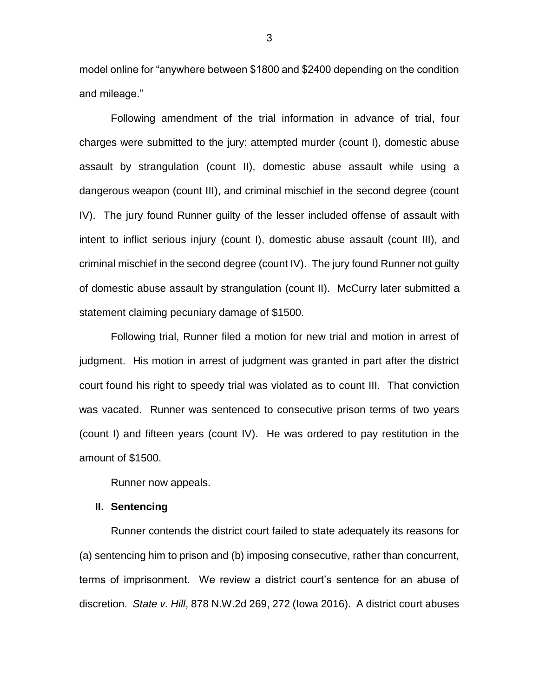model online for "anywhere between \$1800 and \$2400 depending on the condition and mileage."

Following amendment of the trial information in advance of trial, four charges were submitted to the jury: attempted murder (count I), domestic abuse assault by strangulation (count II), domestic abuse assault while using a dangerous weapon (count III), and criminal mischief in the second degree (count IV). The jury found Runner guilty of the lesser included offense of assault with intent to inflict serious injury (count I), domestic abuse assault (count III), and criminal mischief in the second degree (count IV). The jury found Runner not guilty of domestic abuse assault by strangulation (count II). McCurry later submitted a statement claiming pecuniary damage of \$1500.

Following trial, Runner filed a motion for new trial and motion in arrest of judgment. His motion in arrest of judgment was granted in part after the district court found his right to speedy trial was violated as to count III. That conviction was vacated. Runner was sentenced to consecutive prison terms of two years (count I) and fifteen years (count IV). He was ordered to pay restitution in the amount of \$1500.

Runner now appeals.

### **II. Sentencing**

Runner contends the district court failed to state adequately its reasons for (a) sentencing him to prison and (b) imposing consecutive, rather than concurrent, terms of imprisonment. We review a district court's sentence for an abuse of discretion. *State v. Hill*, 878 N.W.2d 269, 272 (Iowa 2016). A district court abuses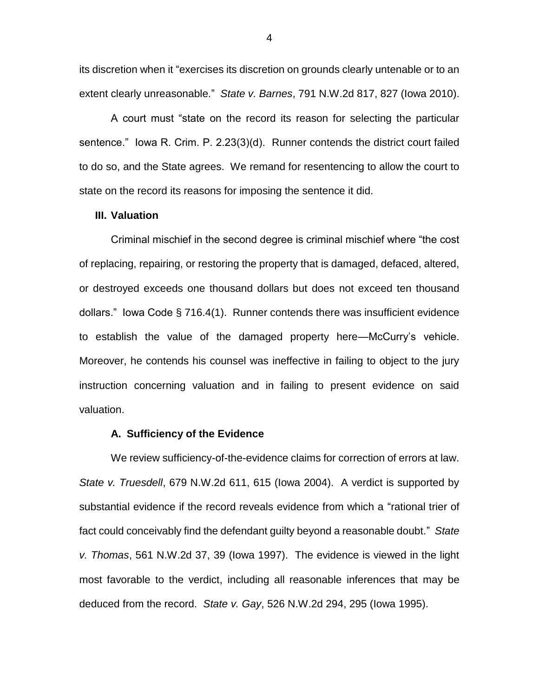its discretion when it "exercises its discretion on grounds clearly untenable or to an extent clearly unreasonable." *State v. Barnes*, 791 N.W.2d 817, 827 (Iowa 2010).

A court must "state on the record its reason for selecting the particular sentence." Iowa R. Crim. P. 2.23(3)(d). Runner contends the district court failed to do so, and the State agrees. We remand for resentencing to allow the court to state on the record its reasons for imposing the sentence it did.

### **III. Valuation**

Criminal mischief in the second degree is criminal mischief where "the cost of replacing, repairing, or restoring the property that is damaged, defaced, altered, or destroyed exceeds one thousand dollars but does not exceed ten thousand dollars." Iowa Code § 716.4(1). Runner contends there was insufficient evidence to establish the value of the damaged property here—McCurry's vehicle. Moreover, he contends his counsel was ineffective in failing to object to the jury instruction concerning valuation and in failing to present evidence on said valuation.

### **A. Sufficiency of the Evidence**

We review sufficiency-of-the-evidence claims for correction of errors at law. *State v. Truesdell*, 679 N.W.2d 611, 615 (Iowa 2004). A verdict is supported by substantial evidence if the record reveals evidence from which a "rational trier of fact could conceivably find the defendant guilty beyond a reasonable doubt." *State v. Thomas*, 561 N.W.2d 37, 39 (Iowa 1997). The evidence is viewed in the light most favorable to the verdict, including all reasonable inferences that may be deduced from the record. *State v. Gay*, 526 N.W.2d 294, 295 (Iowa 1995).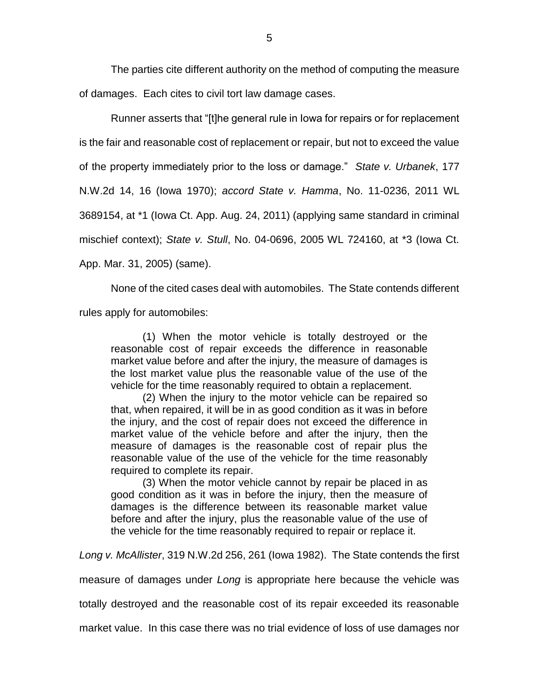The parties cite different authority on the method of computing the measure of damages. Each cites to civil tort law damage cases.

Runner asserts that "[t]he general rule in Iowa for repairs or for replacement is the fair and reasonable cost of replacement or repair, but not to exceed the value of the property immediately prior to the loss or damage." *State v. Urbanek*, 177 N.W.2d 14, 16 (Iowa 1970); *accord State v. Hamma*, No. 11-0236, 2011 WL 3689154, at \*1 (Iowa Ct. App. Aug. 24, 2011) (applying same standard in criminal mischief context); *State v. Stull*, No. 04-0696, 2005 WL 724160, at \*3 (Iowa Ct. App. Mar. 31, 2005) (same).

None of the cited cases deal with automobiles. The State contends different rules apply for automobiles:

(1) When the motor vehicle is totally destroyed or the reasonable cost of repair exceeds the difference in reasonable market value before and after the injury, the measure of damages is the lost market value plus the reasonable value of the use of the vehicle for the time reasonably required to obtain a replacement.

(2) When the injury to the motor vehicle can be repaired so that, when repaired, it will be in as good condition as it was in before the injury, and the cost of repair does not exceed the difference in market value of the vehicle before and after the injury, then the measure of damages is the reasonable cost of repair plus the reasonable value of the use of the vehicle for the time reasonably required to complete its repair.

(3) When the motor vehicle cannot by repair be placed in as good condition as it was in before the injury, then the measure of damages is the difference between its reasonable market value before and after the injury, plus the reasonable value of the use of the vehicle for the time reasonably required to repair or replace it.

*Long v. McAllister*, 319 N.W.2d 256, 261 (Iowa 1982). The State contends the first

measure of damages under *Long* is appropriate here because the vehicle was

totally destroyed and the reasonable cost of its repair exceeded its reasonable

market value. In this case there was no trial evidence of loss of use damages nor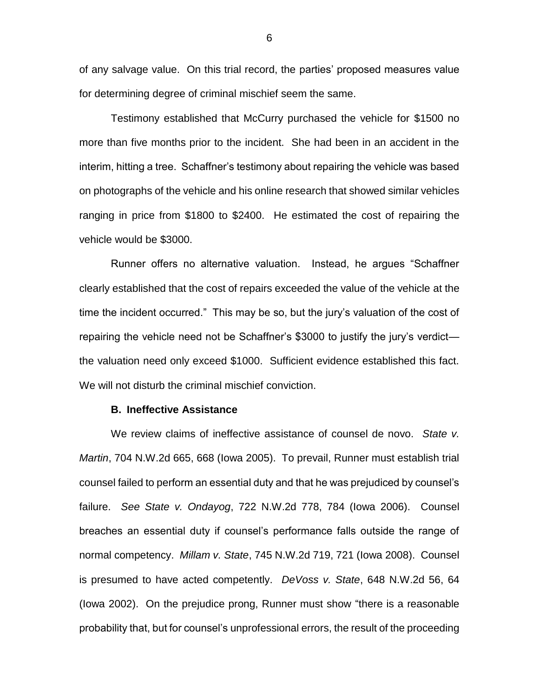of any salvage value. On this trial record, the parties' proposed measures value for determining degree of criminal mischief seem the same.

Testimony established that McCurry purchased the vehicle for \$1500 no more than five months prior to the incident. She had been in an accident in the interim, hitting a tree. Schaffner's testimony about repairing the vehicle was based on photographs of the vehicle and his online research that showed similar vehicles ranging in price from \$1800 to \$2400. He estimated the cost of repairing the vehicle would be \$3000.

Runner offers no alternative valuation. Instead, he argues "Schaffner clearly established that the cost of repairs exceeded the value of the vehicle at the time the incident occurred." This may be so, but the jury's valuation of the cost of repairing the vehicle need not be Schaffner's \$3000 to justify the jury's verdict the valuation need only exceed \$1000. Sufficient evidence established this fact. We will not disturb the criminal mischief conviction.

### **B. Ineffective Assistance**

We review claims of ineffective assistance of counsel de novo. *State v. Martin*, 704 N.W.2d 665, 668 (Iowa 2005). To prevail, Runner must establish trial counsel failed to perform an essential duty and that he was prejudiced by counsel's failure. *See State v. Ondayog*, 722 N.W.2d 778, 784 (Iowa 2006). Counsel breaches an essential duty if counsel's performance falls outside the range of normal competency. *Millam v. State*, 745 N.W.2d 719, 721 (Iowa 2008). Counsel is presumed to have acted competently. *DeVoss v. State*, 648 N.W.2d 56, 64 (Iowa 2002). On the prejudice prong, Runner must show "there is a reasonable probability that, but for counsel's unprofessional errors, the result of the proceeding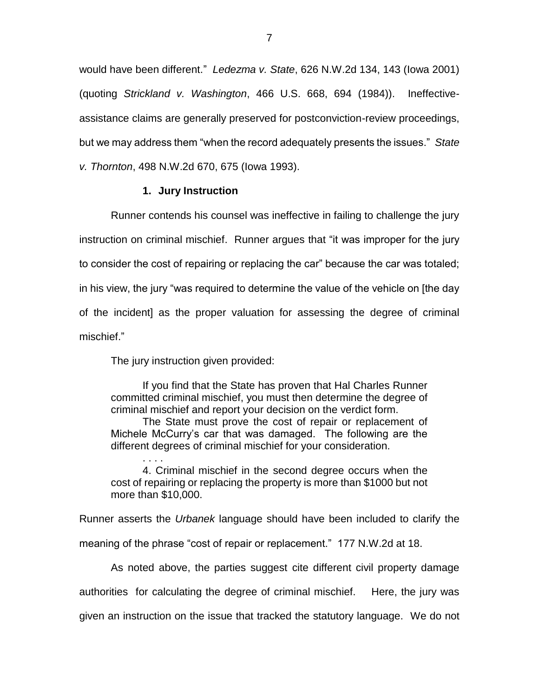would have been different." *Ledezma v. State*, 626 N.W.2d 134, 143 (Iowa 2001) (quoting *Strickland v. Washington*, 466 U.S. 668, 694 (1984)). Ineffectiveassistance claims are generally preserved for postconviction-review proceedings, but we may address them "when the record adequately presents the issues." *State v. Thornton*, 498 N.W.2d 670, 675 (Iowa 1993).

## **1. Jury Instruction**

Runner contends his counsel was ineffective in failing to challenge the jury instruction on criminal mischief. Runner argues that "it was improper for the jury to consider the cost of repairing or replacing the car" because the car was totaled; in his view, the jury "was required to determine the value of the vehicle on [the day of the incident] as the proper valuation for assessing the degree of criminal mischief."

The jury instruction given provided:

If you find that the State has proven that Hal Charles Runner committed criminal mischief, you must then determine the degree of criminal mischief and report your decision on the verdict form.

The State must prove the cost of repair or replacement of Michele McCurry's car that was damaged. The following are the different degrees of criminal mischief for your consideration.

. . . . 4. Criminal mischief in the second degree occurs when the cost of repairing or replacing the property is more than \$1000 but not more than \$10,000.

Runner asserts the *Urbanek* language should have been included to clarify the

meaning of the phrase "cost of repair or replacement." 177 N.W.2d at 18.

As noted above, the parties suggest cite different civil property damage authorities for calculating the degree of criminal mischief. Here, the jury was given an instruction on the issue that tracked the statutory language. We do not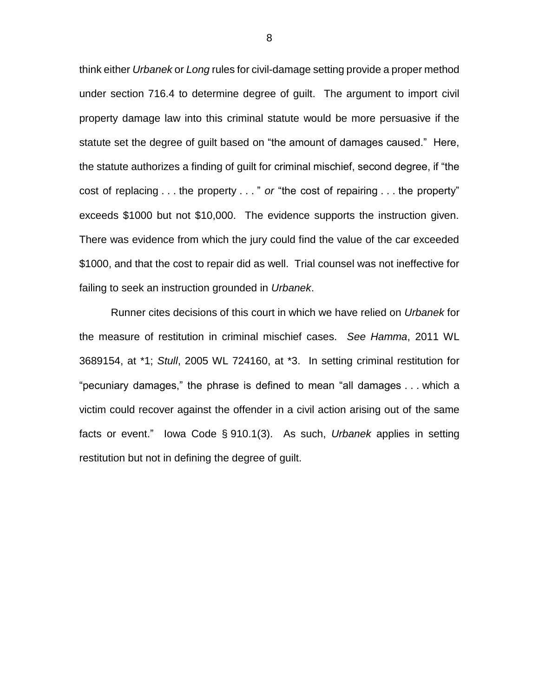think either *Urbanek* or *Long* rules for civil-damage setting provide a proper method under section 716.4 to determine degree of guilt. The argument to import civil property damage law into this criminal statute would be more persuasive if the statute set the degree of guilt based on "the amount of damages caused." Here, the statute authorizes a finding of guilt for criminal mischief, second degree, if "the cost of replacing . . . the property . . . " *or* "the cost of repairing . . . the property" exceeds \$1000 but not \$10,000. The evidence supports the instruction given. There was evidence from which the jury could find the value of the car exceeded \$1000, and that the cost to repair did as well. Trial counsel was not ineffective for failing to seek an instruction grounded in *Urbanek*.

Runner cites decisions of this court in which we have relied on *Urbanek* for the measure of restitution in criminal mischief cases. *See Hamma*, 2011 WL 3689154, at \*1; *Stull*, 2005 WL 724160, at \*3. In setting criminal restitution for "pecuniary damages," the phrase is defined to mean "all damages . . . which a victim could recover against the offender in a civil action arising out of the same facts or event." Iowa Code § 910.1(3). As such, *Urbanek* applies in setting restitution but not in defining the degree of guilt.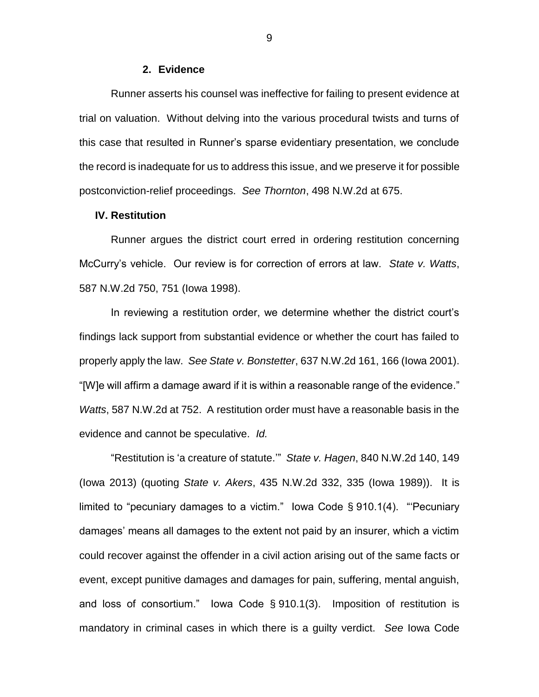#### **2. Evidence**

Runner asserts his counsel was ineffective for failing to present evidence at trial on valuation. Without delving into the various procedural twists and turns of this case that resulted in Runner's sparse evidentiary presentation, we conclude the record is inadequate for us to address this issue, and we preserve it for possible postconviction-relief proceedings. *See Thornton*, 498 N.W.2d at 675.

## **IV. Restitution**

Runner argues the district court erred in ordering restitution concerning McCurry's vehicle. Our review is for correction of errors at law. *State v. Watts*, 587 N.W.2d 750, 751 (Iowa 1998).

In reviewing a restitution order, we determine whether the district court's findings lack support from substantial evidence or whether the court has failed to properly apply the law. *See State v. Bonstetter*, 637 N.W.2d 161, 166 (Iowa 2001). "[W]e will affirm a damage award if it is within a reasonable range of the evidence." *Watts*, 587 N.W.2d at 752. A restitution order must have a reasonable basis in the evidence and cannot be speculative. *Id.*

"Restitution is 'a creature of statute.'" *State v. Hagen*, 840 N.W.2d 140, 149 (Iowa 2013) (quoting *State v. Akers*, 435 N.W.2d 332, 335 (Iowa 1989)). It is limited to "pecuniary damages to a victim." Iowa Code § 910.1(4). "'Pecuniary damages' means all damages to the extent not paid by an insurer, which a victim could recover against the offender in a civil action arising out of the same facts or event, except punitive damages and damages for pain, suffering, mental anguish, and loss of consortium." Iowa Code § 910.1(3). Imposition of restitution is mandatory in criminal cases in which there is a guilty verdict. *See* Iowa Code

9